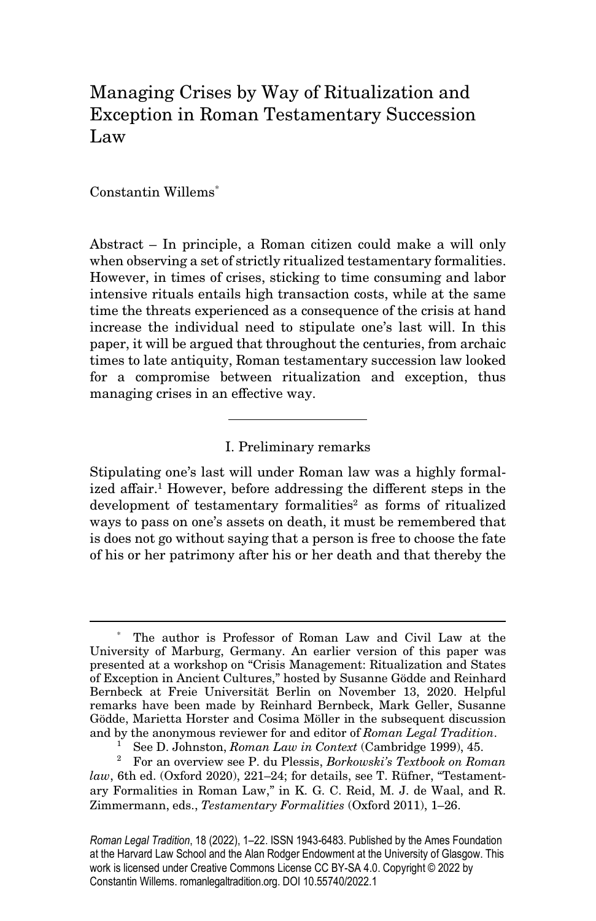# Managing Crises by Way of Ritualization and Exception in Roman Testamentary Succession Law

Constantin Willems\*

Abstract – In principle, a Roman citizen could make a will only when observing a set of strictly ritualized testamentary formalities. However, in times of crises, sticking to time consuming and labor intensive rituals entails high transaction costs, while at the same time the threats experienced as a consequence of the crisis at hand increase the individual need to stipulate one's last will. In this paper, it will be argued that throughout the centuries, from archaic times to late antiquity, Roman testamentary succession law looked for a compromise between ritualization and exception, thus managing crises in an effective way.

## I. Preliminary remarks

Stipulating one's last will under Roman law was a highly formalized affair.<sup>1</sup> However, before addressing the different steps in the development of testamentary formalities<sup>2</sup> as forms of ritualized ways to pass on one's assets on death, it must be remembered that is does not go without saying that a person is free to choose the fate of his or her patrimony after his or her death and that thereby the

<sup>\*</sup> The author is Professor of Roman Law and Civil Law at the University of Marburg, Germany. An earlier version of this paper was presented at a workshop on "Crisis Management: Ritualization and States of Exception in Ancient Cultures," hosted by Susanne Gödde and Reinhard Bernbeck at Freie Universität Berlin on November 13, 2020. Helpful remarks have been made by Reinhard Bernbeck, Mark Geller, Susanne Gödde, Marietta Horster and Cosima Möller in the subsequent discussion and by the anonymous reviewer for and editor of Roman Legal Tradition.

<sup>1</sup> See D. Johnston, Roman Law in Context (Cambridge 1999), 45.

<sup>&</sup>lt;sup>2</sup> For an overview see P. du Plessis, Borkowski's Textbook on Roman law, 6th ed. (Oxford 2020), 221–24; for details, see T. Rüfner, "Testamentary Formalities in Roman Law," in K. G. C. Reid, M. J. de Waal, and R. Zimmermann, eds., Testamentary Formalities (Oxford 2011), 1–26.

*Roman Legal Tradition*, 18 (2022), 1–22. ISSN 1943-6483. Published by the Ames Foundation at the Harvard Law School and the Alan Rodger Endowment at the University of Glasgow. This work is licensed under Creative Commons License CC BY-SA 4.0. Copyright © 2022 by Constantin Willems. romanlegaltradition.org. DOI 10.55740/2022.1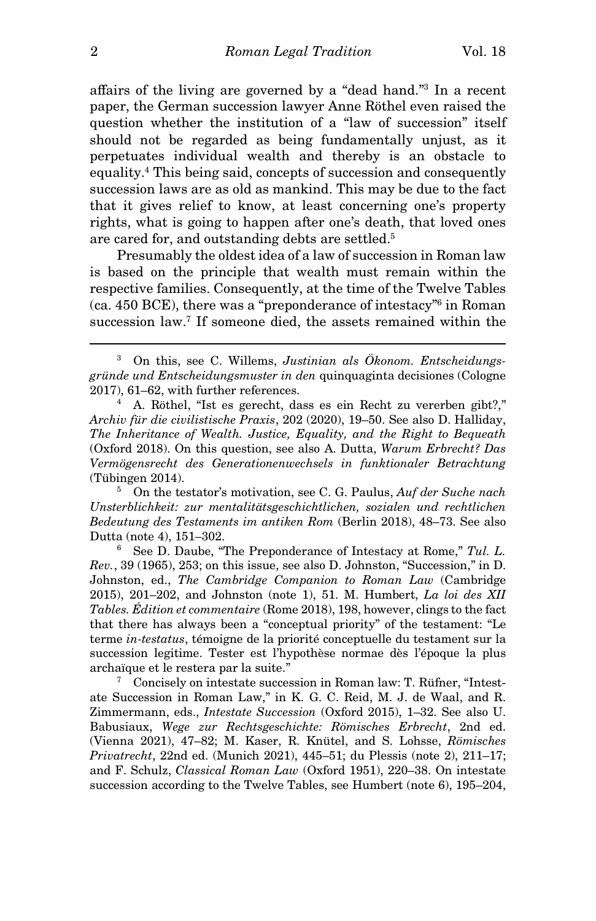affairs of the living are governed by a "dead hand."<sup>3</sup> In a recent paper, the German succession lawyer Anne Röthel even raised the question whether the institution of a "law of succession" itself should not be regarded as being fundamentally unjust, as it perpetuates individual wealth and thereby is an obstacle to equality.<sup>4</sup> This being said, concepts of succession and consequently succession laws are as old as mankind. This may be due to the fact that it gives relief to know, at least concerning one's property rights, what is going to happen after one's death, that loved ones are cared for, and outstanding debts are settled.<sup>5</sup>

Presumably the oldest idea of a law of succession in Roman law is based on the principle that wealth must remain within the respective families. Consequently, at the time of the Twelve Tables (ca. 450 BCE), there was a "preponderance of intestacy"<sup>6</sup> in Roman succession law.<sup>7</sup> If someone died, the assets remained within the

4 A. Röthel, "Ist es gerecht, dass es ein Recht zu vererben gibt?," Archiv für die civilistische Praxis, 202 (2020), 19–50. See also D. Halliday, The Inheritance of Wealth. Justice, Equality, and the Right to Bequeath (Oxford 2018). On this question, see also A. Dutta, Warum Erbrecht? Das Vermögensrecht des Generationenwechsels in funktionaler Betrachtung (Tübingen 2014).

5 On the testator's motivation, see C. G. Paulus, Auf der Suche nach Unsterblichkeit: zur mentalitätsgeschichtlichen, sozialen und rechtlichen Bedeutung des Testaments im antiken Rom (Berlin 2018), 48–73. See also Dutta (note 4), 151–302.

6 See D. Daube, "The Preponderance of Intestacy at Rome," Tul. L. Rev., 39 (1965), 253; on this issue, see also D. Johnston, "Succession," in D. Johnston, ed., The Cambridge Companion to Roman Law (Cambridge 2015), 201–202, and Johnston (note 1), 51. M. Humbert, La loi des XII Tables. Édition et commentaire (Rome 2018), 198, however, clings to the fact that there has always been a "conceptual priority" of the testament: "Le terme in-testatus, témoigne de la priorité conceptuelle du testament sur la succession legitime. Tester est l'hypothèse normae dès l'époque la plus archaïque et le restera par la suite."

<sup>7</sup> Concisely on intestate succession in Roman law: T. Rüfner, "Intestate Succession in Roman Law," in K. G. C. Reid, M. J. de Waal, and R. Zimmermann, eds., Intestate Succession (Oxford 2015), 1–32. See also U. Babusiaux, Wege zur Rechtsgeschichte: Römisches Erbrecht, 2nd ed. (Vienna 2021), 47–82; M. Kaser, R. Knütel, and S. Lohsse, Römisches Privatrecht, 22nd ed. (Munich 2021), 445–51; du Plessis (note 2), 211–17; and F. Schulz, Classical Roman Law (Oxford 1951), 220–38. On intestate succession according to the Twelve Tables, see Humbert (note 6), 195–204,

<sup>&</sup>lt;sup>3</sup> On this, see C. Willems, Justinian als Ökonom. Entscheidungsgründe und Entscheidungsmuster in den quinquaginta decisiones (Cologne 2017), 61–62, with further references.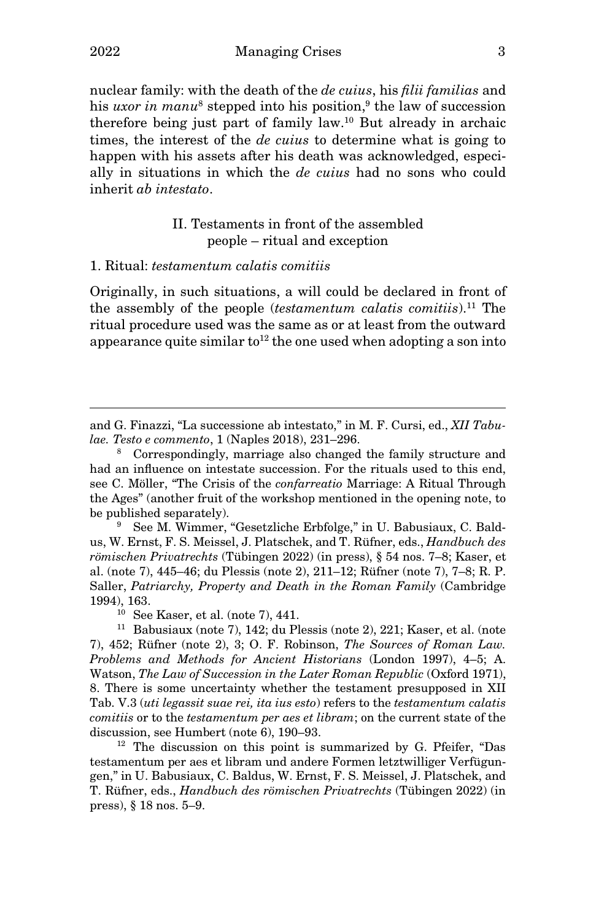nuclear family: with the death of the de cuius, his filii familias and his *uxor in manu*<sup>8</sup> stepped into his position,<sup>9</sup> the law of succession therefore being just part of family law.<sup>10</sup> But already in archaic times, the interest of the *de cuius* to determine what is going to happen with his assets after his death was acknowledged, especially in situations in which the de cuius had no sons who could inherit ab intestato.

# II. Testaments in front of the assembled people – ritual and exception

## 1. Ritual: testamentum calatis comitiis

Originally, in such situations, a will could be declared in front of the assembly of the people *(testamentum calatis comitiis)*.<sup>11</sup> The ritual procedure used was the same as or at least from the outward appearance quite similar  $\mathrm{to}^{12}$  the one used when adopting a son into

and G. Finazzi, "La successione ab intestato," in M. F. Cursi, ed., XII Tabulae. Testo e commento, 1 (Naples 2018), 231–296.

8 Correspondingly, marriage also changed the family structure and had an influence on intestate succession. For the rituals used to this end, see C. Möller, "The Crisis of the confarreatio Marriage: A Ritual Through the Ages" (another fruit of the workshop mentioned in the opening note, to be published separately).

9 See M. Wimmer, "Gesetzliche Erbfolge," in U. Babusiaux, C. Baldus, W. Ernst, F. S. Meissel, J. Platschek, and T. Rüfner, eds., Handbuch des römischen Privatrechts (Tübingen 2022) (in press), § 54 nos. 7–8; Kaser, et al. (note 7), 445–46; du Plessis (note 2), 211–12; Rüfner (note 7), 7–8; R. P. Saller, Patriarchy, Property and Death in the Roman Family (Cambridge 1994), 163.

 $10$  See Kaser, et al. (note 7), 441.

<sup>11</sup> Babusiaux (note 7), 142; du Plessis (note 2), 221; Kaser, et al. (note 7), 452; Rüfner (note 2), 3; O. F. Robinson, The Sources of Roman Law. Problems and Methods for Ancient Historians (London 1997), 4–5; A. Watson, The Law of Succession in the Later Roman Republic (Oxford 1971), 8. There is some uncertainty whether the testament presupposed in XII Tab. V.3 (uti legassit suae rei, ita ius esto) refers to the testamentum calatis comitiis or to the testamentum per aes et libram; on the current state of the discussion, see Humbert (note 6), 190–93.

<sup>12</sup> The discussion on this point is summarized by G. Pfeifer, "Das testamentum per aes et libram und andere Formen letztwilliger Verfügungen," in U. Babusiaux, C. Baldus, W. Ernst, F. S. Meissel, J. Platschek, and T. Rüfner, eds., Handbuch des römischen Privatrechts (Tübingen 2022) (in press), § 18 nos. 5–9.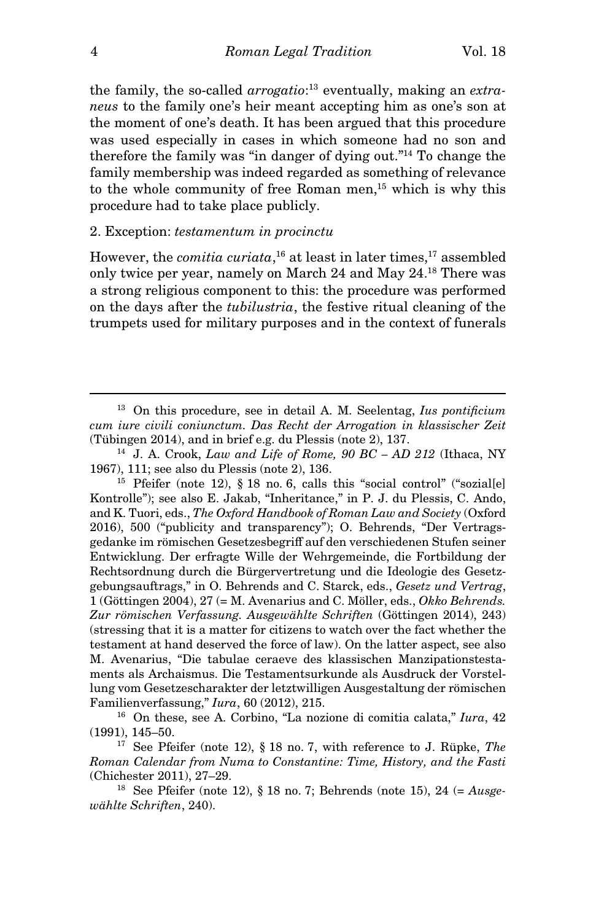the family, the so-called *arrogatio*:<sup>13</sup> eventually, making an extraneus to the family one's heir meant accepting him as one's son at the moment of one's death. It has been argued that this procedure was used especially in cases in which someone had no son and therefore the family was "in danger of dying out."<sup>14</sup> To change the family membership was indeed regarded as something of relevance to the whole community of free Roman men,<sup>15</sup> which is why this procedure had to take place publicly.

## 2. Exception: testamentum in procinctu

However, the *comitia curiata*,<sup>16</sup> at least in later times,<sup>17</sup> assembled only twice per year, namely on March 24 and May 24.<sup>18</sup> There was a strong religious component to this: the procedure was performed on the days after the tubilustria, the festive ritual cleaning of the trumpets used for military purposes and in the context of funerals

<sup>15</sup> Pfeifer (note 12), § 18 no. 6, calls this "social control" ("sozial[e] Kontrolle"); see also E. Jakab, "Inheritance," in P. J. du Plessis, C. Ando, and K. Tuori, eds., The Oxford Handbook of Roman Law and Society (Oxford 2016), 500 ("publicity and transparency"); O. Behrends, "Der Vertragsgedanke im römischen Gesetzesbegriff auf den verschiedenen Stufen seiner Entwicklung. Der erfragte Wille der Wehrgemeinde, die Fortbildung der Rechtsordnung durch die Bürgervertretung und die Ideologie des Gesetzgebungsauftrags," in O. Behrends and C. Starck, eds., Gesetz und Vertrag, 1 (Göttingen 2004), 27 (= M. Avenarius and C. Möller, eds., Okko Behrends. Zur römischen Verfassung. Ausgewählte Schriften (Göttingen 2014), 243) (stressing that it is a matter for citizens to watch over the fact whether the testament at hand deserved the force of law). On the latter aspect, see also M. Avenarius, "Die tabulae ceraeve des klassischen Manzipationstestaments als Archaismus. Die Testamentsurkunde als Ausdruck der Vorstellung vom Gesetzescharakter der letztwilligen Ausgestaltung der römischen Familienverfassung," Iura, 60 (2012), 215.

 $13$  On this procedure, see in detail A. M. Seelentag, Ius pontificium cum iure civili coniunctum. Das Recht der Arrogation in klassischer Zeit (Tübingen 2014), and in brief e.g. du Plessis (note 2), 137.

 $14$  J. A. Crook, Law and Life of Rome,  $90$  BC - AD 212 (Ithaca, NY 1967), 111; see also du Plessis (note 2), 136.

<sup>&</sup>lt;sup>16</sup> On these, see A. Corbino, "La nozione di comitia calata,"  $Iura$ , 42 (1991), 145–50.

<sup>&</sup>lt;sup>17</sup> See Pfeifer (note 12), § 18 no. 7, with reference to J. Rüpke, *The* Roman Calendar from Numa to Constantine: Time, History, and the Fasti (Chichester 2011), 27–29.

<sup>&</sup>lt;sup>18</sup> See Pfeifer (note 12), § 18 no. 7; Behrends (note 15), 24  $(= \text{A}$ usgewählte Schriften, 240).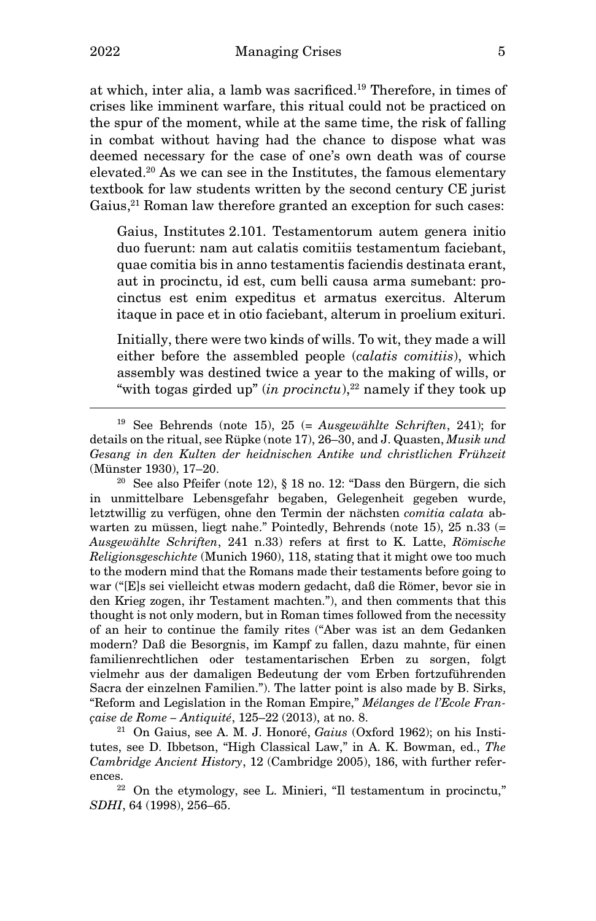at which, inter alia, a lamb was sacrificed.<sup>19</sup> Therefore, in times of crises like imminent warfare, this ritual could not be practiced on the spur of the moment, while at the same time, the risk of falling in combat without having had the chance to dispose what was deemed necessary for the case of one's own death was of course elevated.<sup>20</sup> As we can see in the Institutes, the famous elementary textbook for law students written by the second century CE jurist Gaius,<sup>21</sup> Roman law therefore granted an exception for such cases:

Gaius, Institutes 2.101. Testamentorum autem genera initio duo fuerunt: nam aut calatis comitiis testamentum faciebant, quae comitia bis in anno testamentis faciendis destinata erant, aut in procinctu, id est, cum belli causa arma sumebant: procinctus est enim expeditus et armatus exercitus. Alterum itaque in pace et in otio faciebant, alterum in proelium exituri.

Initially, there were two kinds of wills. To wit, they made a will either before the assembled people (calatis comitiis), which assembly was destined twice a year to the making of wills, or "with togas girded up" (in procinctu),<sup>22</sup> namely if they took up

 $20$  See also Pfeifer (note 12), § 18 no. 12: "Dass den Bürgern, die sich in unmittelbare Lebensgefahr begaben, Gelegenheit gegeben wurde, letztwillig zu verfügen, ohne den Termin der nächsten comitia calata abwarten zu müssen, liegt nahe." Pointedly, Behrends (note 15), 25 n.33 (= Ausgewählte Schriften, 241 n.33) refers at first to K. Latte, Römische Religionsgeschichte (Munich 1960), 118, stating that it might owe too much to the modern mind that the Romans made their testaments before going to war ("[E]s sei vielleicht etwas modern gedacht, daß die Römer, bevor sie in den Krieg zogen, ihr Testament machten."), and then comments that this thought is not only modern, but in Roman times followed from the necessity of an heir to continue the family rites ("Aber was ist an dem Gedanken modern? Daß die Besorgnis, im Kampf zu fallen, dazu mahnte, für einen familienrechtlichen oder testamentarischen Erben zu sorgen, folgt vielmehr aus der damaligen Bedeutung der vom Erben fortzuführenden Sacra der einzelnen Familien."). The latter point is also made by B. Sirks, "Reform and Legislation in the Roman Empire," Mélanges de l'Ecole Française de Rome – Antiquité, 125–22 (2013), at no. 8.

 $21$  On Gaius, see A. M. J. Honoré, Gaius (Oxford 1962); on his Institutes, see D. Ibbetson, "High Classical Law," in A. K. Bowman, ed., The Cambridge Ancient History, 12 (Cambridge 2005), 186, with further references.

 $22$  On the etymology, see L. Minieri, "Il testamentum in procinctu," SDHI, 64 (1998), 256–65.

<sup>&</sup>lt;sup>19</sup> See Behrends (note 15), 25 (= Ausgewählte Schriften, 241); for details on the ritual, see Rüpke (note 17), 26–30, and J. Quasten, Musik und Gesang in den Kulten der heidnischen Antike und christlichen Frühzeit (Münster 1930), 17–20.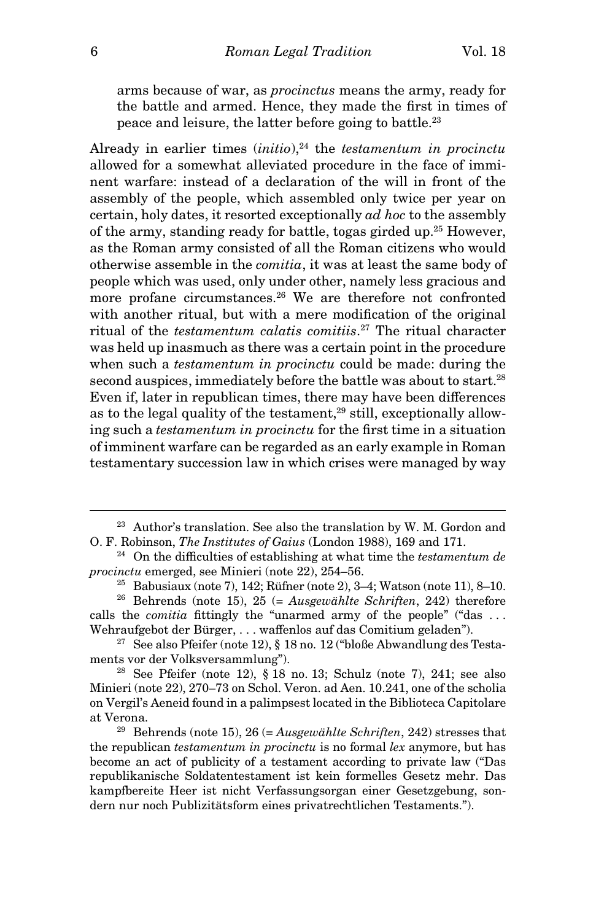arms because of war, as procinctus means the army, ready for the battle and armed. Hence, they made the first in times of peace and leisure, the latter before going to battle.<sup>23</sup>

Already in earlier times  $(initio)$ ,<sup>24</sup> the *testamentum in procinctu* allowed for a somewhat alleviated procedure in the face of imminent warfare: instead of a declaration of the will in front of the assembly of the people, which assembled only twice per year on certain, holy dates, it resorted exceptionally ad hoc to the assembly of the army, standing ready for battle, togas girded up.<sup>25</sup> However, as the Roman army consisted of all the Roman citizens who would otherwise assemble in the comitia, it was at least the same body of people which was used, only under other, namely less gracious and more profane circumstances.<sup>26</sup> We are therefore not confronted with another ritual, but with a mere modification of the original ritual of the testamentum calatis comitiis. <sup>27</sup> The ritual character was held up inasmuch as there was a certain point in the procedure when such a *testamentum in procinctu* could be made: during the second auspices, immediately before the battle was about to start.<sup>28</sup> Even if, later in republican times, there may have been differences as to the legal quality of the testament, $29$  still, exceptionally allowing such a testamentum in procinctu for the first time in a situation of imminent warfare can be regarded as an early example in Roman testamentary succession law in which crises were managed by way

<sup>&</sup>lt;sup>23</sup> Author's translation. See also the translation by W. M. Gordon and O. F. Robinson, The Institutes of Gaius (London 1988), 169 and 171.

 $24$  On the difficulties of establishing at what time the testamentum de procinctu emerged, see Minieri (note 22), 254–56.

<sup>&</sup>lt;sup>25</sup> Babusiaux (note 7), 142; Rüfner (note 2), 3-4; Watson (note 11), 8-10.

<sup>&</sup>lt;sup>26</sup> Behrends (note 15), 25 (= Ausgewählte Schriften, 242) therefore calls the *comitia* fittingly the "unarmed army of the people" ("das ... Wehraufgebot der Bürger, ... waffenlos auf das Comitium geladen").

 $27$  See also Pfeifer (note 12), § 18 no. 12 ("bloße Abwandlung des Testaments vor der Volksversammlung").

 $28$  See Pfeifer (note 12), § 18 no. 13; Schulz (note 7), 241; see also Minieri (note 22), 270–73 on Schol. Veron. ad Aen. 10.241, one of the scholia on Vergil's Aeneid found in a palimpsest located in the Biblioteca Capitolare at Verona.

<sup>&</sup>lt;sup>29</sup> Behrends (note 15), 26 (= Ausgewählte Schriften, 242) stresses that the republican testamentum in procinctu is no formal lex anymore, but has become an act of publicity of a testament according to private law ("Das republikanische Soldatentestament ist kein formelles Gesetz mehr. Das kampfbereite Heer ist nicht Verfassungsorgan einer Gesetzgebung, sondern nur noch Publizitätsform eines privatrechtlichen Testaments.").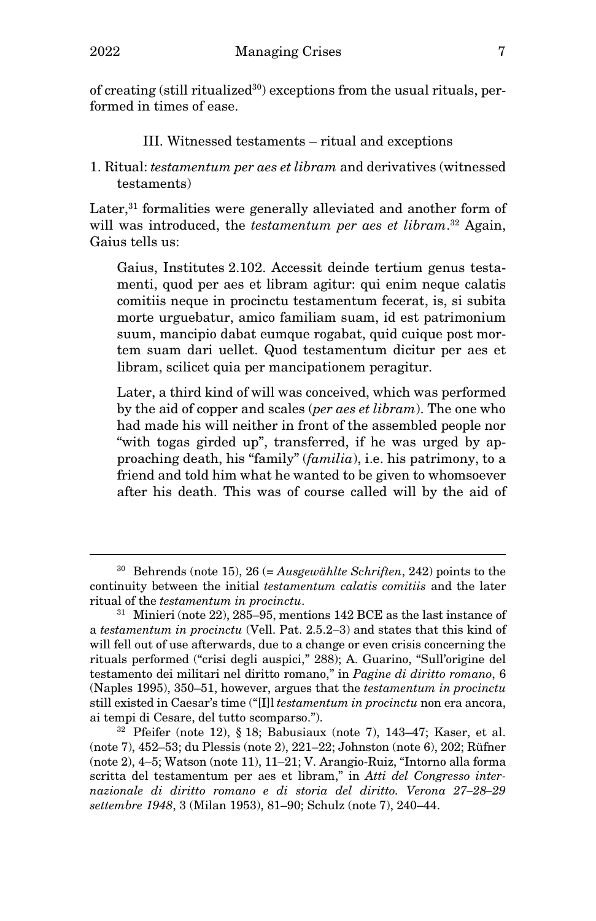of creating (still ritualized $30$ ) exceptions from the usual rituals, performed in times of ease.

- III. Witnessed testaments ritual and exceptions
- 1. Ritual: testamentum per aes et libram and derivatives (witnessed testaments)

Later,<sup>31</sup> formalities were generally alleviated and another form of will was introduced, the *testamentum per aes et libram*.<sup>32</sup> Again, Gaius tells us:

Gaius, Institutes 2.102. Accessit deinde tertium genus testamenti, quod per aes et libram agitur: qui enim neque calatis comitiis neque in procinctu testamentum fecerat, is, si subita morte urguebatur, amico familiam suam, id est patrimonium suum, mancipio dabat eumque rogabat, quid cuique post mortem suam dari uellet. Quod testamentum dicitur per aes et libram, scilicet quia per mancipationem peragitur.

Later, a third kind of will was conceived, which was performed by the aid of copper and scales (per aes et libram). The one who had made his will neither in front of the assembled people nor "with togas girded up", transferred, if he was urged by approaching death, his "family" (familia), i.e. his patrimony, to a friend and told him what he wanted to be given to whomsoever after his death. This was of course called will by the aid of

 $30$  Behrends (note 15), 26 (= Ausgewählte Schriften, 242) points to the continuity between the initial testamentum calatis comitiis and the later ritual of the testamentum in procinctu.

 $31$  Minieri (note 22), 285–95, mentions 142 BCE as the last instance of a testamentum in procinctu (Vell. Pat. 2.5.2–3) and states that this kind of will fell out of use afterwards, due to a change or even crisis concerning the rituals performed ("crisi degli auspici," 288); A. Guarino, "Sull'origine del testamento dei militari nel diritto romano," in Pagine di diritto romano, 6 (Naples 1995), 350–51, however, argues that the testamentum in procinctu still existed in Caesar's time ("[I]l testamentum in procinctu non era ancora, ai tempi di Cesare, del tutto scomparso.").

 $32$  Pfeifer (note 12), § 18; Babusiaux (note 7), 143–47; Kaser, et al. (note 7), 452–53; du Plessis (note 2), 221–22; Johnston (note 6), 202; Rüfner (note 2), 4–5; Watson (note 11), 11–21; V. Arangio-Ruiz, "Intorno alla forma scritta del testamentum per aes et libram," in Atti del Congresso internazionale di diritto romano e di storia del diritto. Verona 27–28–29 settembre 1948, 3 (Milan 1953), 81–90; Schulz (note 7), 240–44.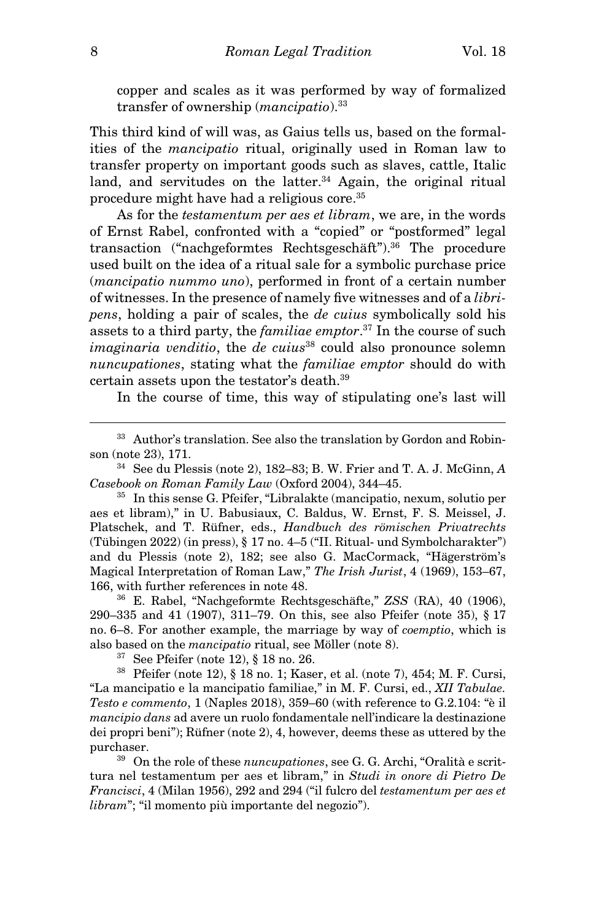copper and scales as it was performed by way of formalized transfer of ownership (mancipatio).<sup>33</sup>

This third kind of will was, as Gaius tells us, based on the formalities of the mancipatio ritual, originally used in Roman law to transfer property on important goods such as slaves, cattle, Italic land, and servitudes on the latter. $34$  Again, the original ritual procedure might have had a religious core.<sup>35</sup>

As for the *testamentum per aes et libram*, we are, in the words of Ernst Rabel, confronted with a "copied" or "postformed" legal transaction ("nachgeformtes Rechtsgeschäft").<sup>36</sup> The procedure used built on the idea of a ritual sale for a symbolic purchase price (mancipatio nummo uno), performed in front of a certain number of witnesses. In the presence of namely five witnesses and of a libripens, holding a pair of scales, the de cuius symbolically sold his assets to a third party, the *familiae emptor*.<sup>37</sup> In the course of such  $imaginaria$  venditio, the de cuius<sup>38</sup> could also pronounce solemn nuncupationes, stating what the familiae emptor should do with certain assets upon the testator's death.<sup>39</sup>

In the course of time, this way of stipulating one's last will

<sup>35</sup> In this sense G. Pfeifer, "Libralakte (mancipatio, nexum, solutio per aes et libram)," in U. Babusiaux, C. Baldus, W. Ernst, F. S. Meissel, J. Platschek, and T. Rüfner, eds., Handbuch des römischen Privatrechts (Tübingen 2022) (in press), § 17 no. 4–5 ("II. Ritual- und Symbolcharakter") and du Plessis (note 2), 182; see also G. MacCormack, "Hägerström's Magical Interpretation of Roman Law," The Irish Jurist, 4 (1969), 153–67, 166, with further references in note 48.

<sup>36</sup> E. Rabel, "Nachgeformte Rechtsgeschäfte," ZSS (RA), 40 (1906), 290–335 and 41 (1907), 311–79. On this, see also Pfeifer (note 35), § 17 no. 6–8. For another example, the marriage by way of coemptio, which is also based on the mancipatio ritual, see Möller (note 8).

<sup>37</sup> See Pfeifer (note 12), § 18 no. 26.

<sup>38</sup> Pfeifer (note 12), § 18 no. 1; Kaser, et al. (note 7), 454; M. F. Cursi, "La mancipatio e la mancipatio familiae," in M. F. Cursi, ed., XII Tabulae. Testo e commento, 1 (Naples 2018), 359–60 (with reference to G.2.104: "è il mancipio dans ad avere un ruolo fondamentale nell'indicare la destinazione dei propri beni"); Rüfner (note 2), 4, however, deems these as uttered by the purchaser.

<sup>39</sup> On the role of these *nuncupationes*, see G. G. Archi, "Oralità e scrittura nel testamentum per aes et libram," in Studi in onore di Pietro De Francisci, 4 (Milan 1956), 292 and 294 ("il fulcro del testamentum per aes et libram"; "il momento più importante del negozio").

<sup>&</sup>lt;sup>33</sup> Author's translation. See also the translation by Gordon and Robinson (note 23), 171.

 $34$  See du Plessis (note 2), 182–83; B. W. Frier and T. A. J. McGinn, A Casebook on Roman Family Law (Oxford 2004), 344–45.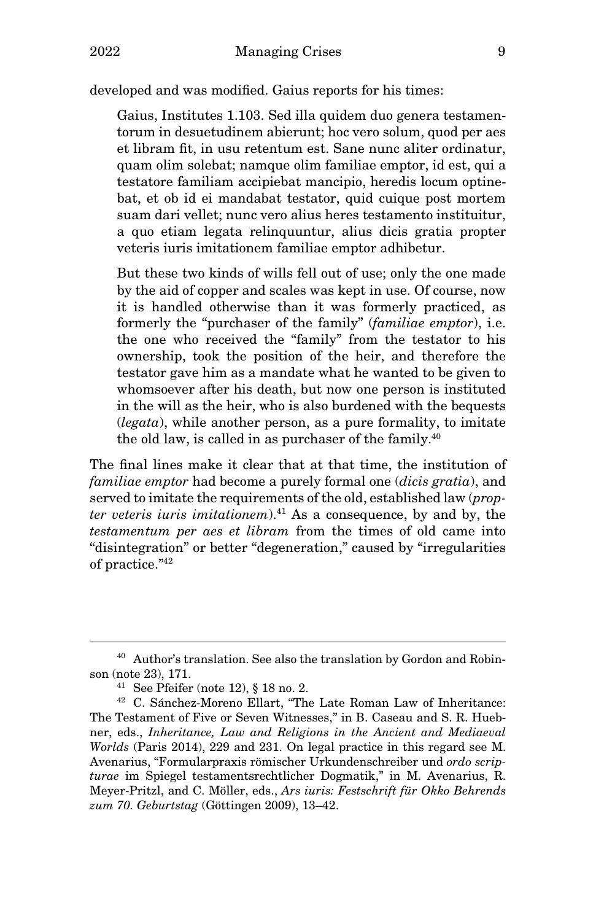developed and was modified. Gaius reports for his times:

Gaius, Institutes 1.103. Sed illa quidem duo genera testamentorum in desuetudinem abierunt; hoc vero solum, quod per aes et libram fit, in usu retentum est. Sane nunc aliter ordinatur, quam olim solebat; namque olim familiae emptor, id est, qui a testatore familiam accipiebat mancipio, heredis locum optinebat, et ob id ei mandabat testator, quid cuique post mortem suam dari vellet; nunc vero alius heres testamento instituitur, a quo etiam legata relinquuntur, alius dicis gratia propter veteris iuris imitationem familiae emptor adhibetur.

But these two kinds of wills fell out of use; only the one made by the aid of copper and scales was kept in use. Of course, now it is handled otherwise than it was formerly practiced, as formerly the "purchaser of the family" *(familiae emptor)*, i.e. the one who received the "family" from the testator to his ownership, took the position of the heir, and therefore the testator gave him as a mandate what he wanted to be given to whomsoever after his death, but now one person is instituted in the will as the heir, who is also burdened with the bequests  $(legata)$ , while another person, as a pure formality, to imitate the old law, is called in as purchaser of the family.<sup>40</sup>

The final lines make it clear that at that time, the institution of familiae emptor had become a purely formal one *(dicis gratia)*, and served to imitate the requirements of the old, established law (propter veteris iuris imitationem). $41$  As a consequence, by and by, the testamentum per aes et libram from the times of old came into "disintegration" or better "degeneration," caused by "irregularities of practice."<sup>42</sup>

<sup>40</sup> Author's translation. See also the translation by Gordon and Robinson (note 23), 171.

<sup>&</sup>lt;sup>41</sup> See Pfeifer (note 12),  $\S$  18 no. 2.

<sup>42</sup> C. Sánchez-Moreno Ellart, "The Late Roman Law of Inheritance: The Testament of Five or Seven Witnesses," in B. Caseau and S. R. Huebner, eds., Inheritance, Law and Religions in the Ancient and Mediaeval Worlds (Paris 2014), 229 and 231. On legal practice in this regard see M. Avenarius, "Formularpraxis römischer Urkundenschreiber und ordo scripturae im Spiegel testamentsrechtlicher Dogmatik," in M. Avenarius, R. Meyer-Pritzl, and C. Möller, eds., Ars iuris: Festschrift für Okko Behrends zum 70. Geburtstag (Göttingen 2009), 13–42.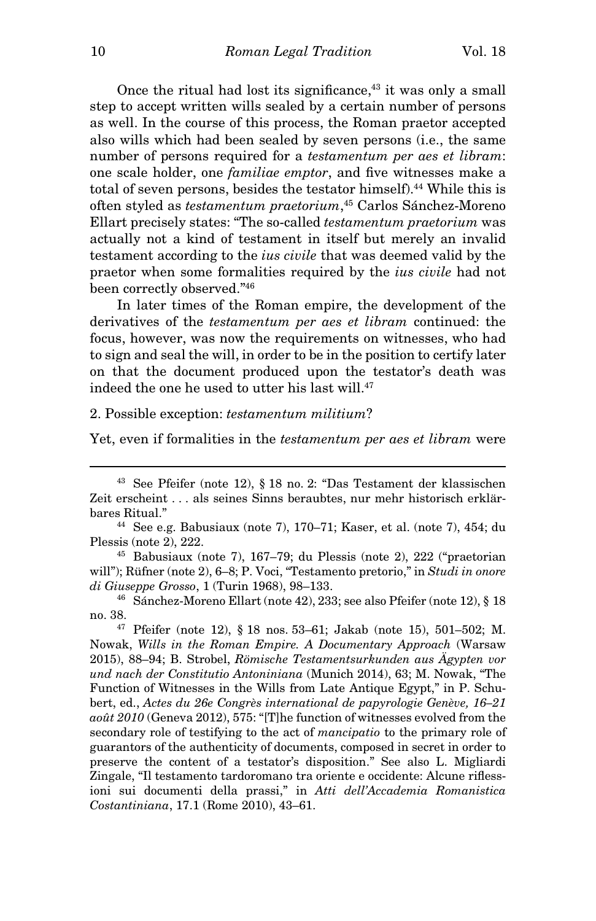Once the ritual had lost its significance, $43$  it was only a small step to accept written wills sealed by a certain number of persons as well. In the course of this process, the Roman praetor accepted also wills which had been sealed by seven persons (i.e., the same number of persons required for a testamentum per aes et libram: one scale holder, one familiae emptor, and five witnesses make a total of seven persons, besides the testator himself).<sup>44</sup> While this is often styled as testamentum praetorium, <sup>45</sup> Carlos Sánchez-Moreno Ellart precisely states: "The so-called testamentum praetorium was actually not a kind of testament in itself but merely an invalid testament according to the ius civile that was deemed valid by the praetor when some formalities required by the ius civile had not been correctly observed."<sup>46</sup>

In later times of the Roman empire, the development of the derivatives of the testamentum per aes et libram continued: the focus, however, was now the requirements on witnesses, who had to sign and seal the will, in order to be in the position to certify later on that the document produced upon the testator's death was indeed the one he used to utter his last will.<sup>47</sup>

#### 2. Possible exception: testamentum militium?

Yet, even if formalities in the testamentum per aes et libram were

<sup>43</sup> See Pfeifer (note 12), § 18 no. 2: "Das Testament der klassischen Zeit erscheint . . . als seines Sinns beraubtes, nur mehr historisch erklärbares Ritual."

<sup>&</sup>lt;sup>44</sup> See e.g. Babusiaux (note 7),  $170-71$ ; Kaser, et al. (note 7),  $454$ ; du Plessis (note 2), 222.

<sup>45</sup> Babusiaux (note 7), 167–79; du Plessis (note 2), 222 ("praetorian will"); Rüfner (note 2), 6-8; P. Voci, "Testamento pretorio," in Studi in onore di Giuseppe Grosso, 1 (Turin 1968), 98–133.

<sup>46</sup> Sánchez-Moreno Ellart (note 42), 233; see also Pfeifer (note 12), § 18 no. 38.

<sup>&</sup>lt;sup>47</sup> Pfeifer (note 12), § 18 nos. 53–61; Jakab (note 15), 501–502; M. Nowak, Wills in the Roman Empire. A Documentary Approach (Warsaw 2015), 88–94; B. Strobel, Römische Testamentsurkunden aus Ägypten vor und nach der Constitutio Antoniniana (Munich 2014), 63; M. Nowak, "The Function of Witnesses in the Wills from Late Antique Egypt," in P. Schubert, ed., Actes du 26e Congrès international de papyrologie Genève, 16–21 août 2010 (Geneva 2012), 575: "[T]he function of witnesses evolved from the secondary role of testifying to the act of mancipatio to the primary role of guarantors of the authenticity of documents, composed in secret in order to preserve the content of a testator's disposition." See also L. Migliardi Zingale, "Il testamento tardoromano tra oriente e occidente: Alcune riflessioni sui documenti della prassi," in Atti dell'Accademia Romanistica Costantiniana, 17.1 (Rome 2010), 43–61.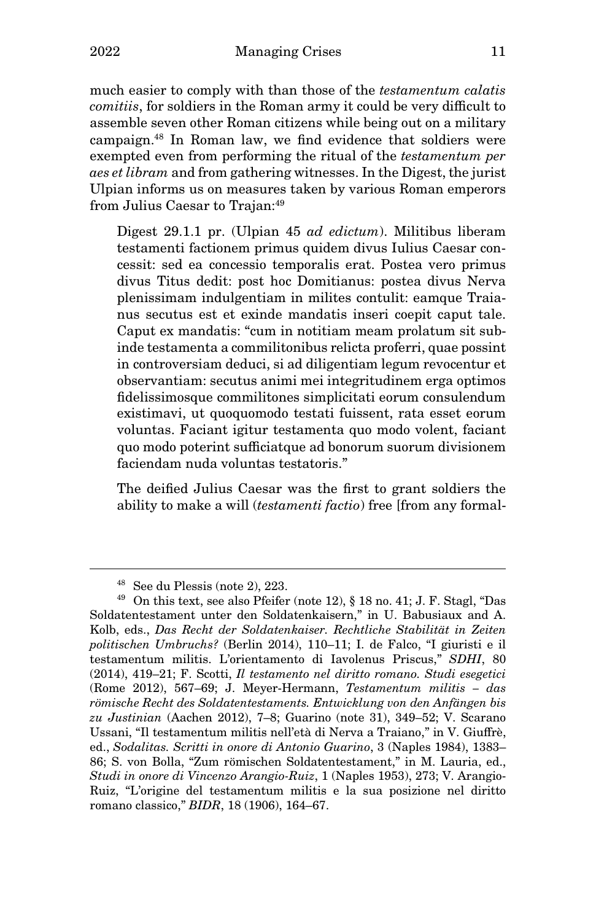much easier to comply with than those of the testamentum calatis comitiis, for soldiers in the Roman army it could be very difficult to assemble seven other Roman citizens while being out on a military campaign.<sup>48</sup> In Roman law, we find evidence that soldiers were exempted even from performing the ritual of the testamentum per aes et libram and from gathering witnesses. In the Digest, the jurist Ulpian informs us on measures taken by various Roman emperors from Julius Caesar to Trajan:<sup>49</sup>

Digest 29.1.1 pr. (Ulpian 45 *ad edictum*). Militibus liberam testamenti factionem primus quidem divus Iulius Caesar concessit: sed ea concessio temporalis erat. Postea vero primus divus Titus dedit: post hoc Domitianus: postea divus Nerva plenissimam indulgentiam in milites contulit: eamque Traianus secutus est et exinde mandatis inseri coepit caput tale. Caput ex mandatis: "cum in notitiam meam prolatum sit subinde testamenta a commilitonibus relicta proferri, quae possint in controversiam deduci, si ad diligentiam legum revocentur et observantiam: secutus animi mei integritudinem erga optimos fidelissimosque commilitones simplicitati eorum consulendum existimavi, ut quoquomodo testati fuissent, rata esset eorum voluntas. Faciant igitur testamenta quo modo volent, faciant quo modo poterint sufficiatque ad bonorum suorum divisionem faciendam nuda voluntas testatoris."

The deified Julius Caesar was the first to grant soldiers the ability to make a will *(testamenti factio)* free [from any formal-

<sup>48</sup> See du Plessis (note 2), 223.

<sup>49</sup> On this text, see also Pfeifer (note 12), § 18 no. 41; J. F. Stagl, "Das Soldatentestament unter den Soldatenkaisern," in U. Babusiaux and A. Kolb, eds., Das Recht der Soldatenkaiser. Rechtliche Stabilität in Zeiten politischen Umbruchs? (Berlin 2014), 110–11; I. de Falco, "I giuristi e il testamentum militis. L'orientamento di Iavolenus Priscus," SDHI, 80 (2014), 419–21; F. Scotti, Il testamento nel diritto romano. Studi esegetici (Rome 2012), 567–69; J. Meyer-Hermann, Testamentum militis – das römische Recht des Soldatentestaments. Entwicklung von den Anfängen bis zu Justinian (Aachen 2012), 7–8; Guarino (note 31), 349–52; V. Scarano Ussani, "Il testamentum militis nell'età di Nerva a Traiano," in V. Giuffrè, ed., Sodalitas. Scritti in onore di Antonio Guarino, 3 (Naples 1984), 1383– 86; S. von Bolla, "Zum römischen Soldatentestament," in M. Lauria, ed., Studi in onore di Vincenzo Arangio-Ruiz, 1 (Naples 1953), 273; V. Arangio-Ruiz, "L'origine del testamentum militis e la sua posizione nel diritto romano classico," BIDR, 18 (1906), 164–67.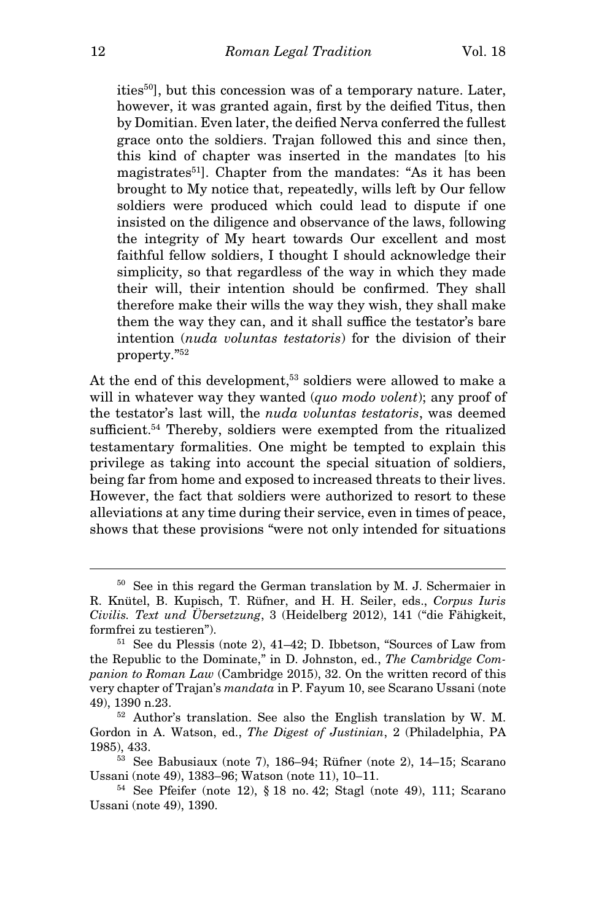ities<sup>50</sup>], but this concession was of a temporary nature. Later, however, it was granted again, first by the deified Titus, then by Domitian. Even later, the deified Nerva conferred the fullest grace onto the soldiers. Trajan followed this and since then, this kind of chapter was inserted in the mandates [to his magistrates<sup>51</sup>. Chapter from the mandates: "As it has been brought to My notice that, repeatedly, wills left by Our fellow soldiers were produced which could lead to dispute if one insisted on the diligence and observance of the laws, following the integrity of My heart towards Our excellent and most faithful fellow soldiers, I thought I should acknowledge their simplicity, so that regardless of the way in which they made their will, their intention should be confirmed. They shall therefore make their wills the way they wish, they shall make them the way they can, and it shall suffice the testator's bare intention (nuda voluntas testatoris) for the division of their property."<sup>52</sup>

At the end of this development,<sup>53</sup> soldiers were allowed to make a will in whatever way they wanted (quo modo volent); any proof of the testator's last will, the nuda voluntas testatoris, was deemed sufficient.<sup>54</sup> Thereby, soldiers were exempted from the ritualized testamentary formalities. One might be tempted to explain this privilege as taking into account the special situation of soldiers, being far from home and exposed to increased threats to their lives. However, the fact that soldiers were authorized to resort to these alleviations at any time during their service, even in times of peace, shows that these provisions "were not only intended for situations

<sup>50</sup> See in this regard the German translation by M. J. Schermaier in R. Knütel, B. Kupisch, T. Rüfner, and H. H. Seiler, eds., Corpus Iuris Civilis. Text und Übersetzung, 3 (Heidelberg 2012), 141 ("die Fähigkeit, formfrei zu testieren").

<sup>51</sup> See du Plessis (note 2), 41–42; D. Ibbetson, "Sources of Law from the Republic to the Dominate," in D. Johnston, ed., The Cambridge Companion to Roman Law (Cambridge 2015), 32. On the written record of this very chapter of Trajan's mandata in P. Fayum 10, see Scarano Ussani (note 49), 1390 n.23.

<sup>52</sup> Author's translation. See also the English translation by W. M. Gordon in A. Watson, ed., The Digest of Justinian, 2 (Philadelphia, PA 1985), 433.

<sup>53</sup> See Babusiaux (note 7), 186–94; Rüfner (note 2), 14–15; Scarano Ussani (note 49), 1383–96; Watson (note 11), 10–11.

<sup>54</sup> See Pfeifer (note 12), § 18 no. 42; Stagl (note 49), 111; Scarano Ussani (note 49), 1390.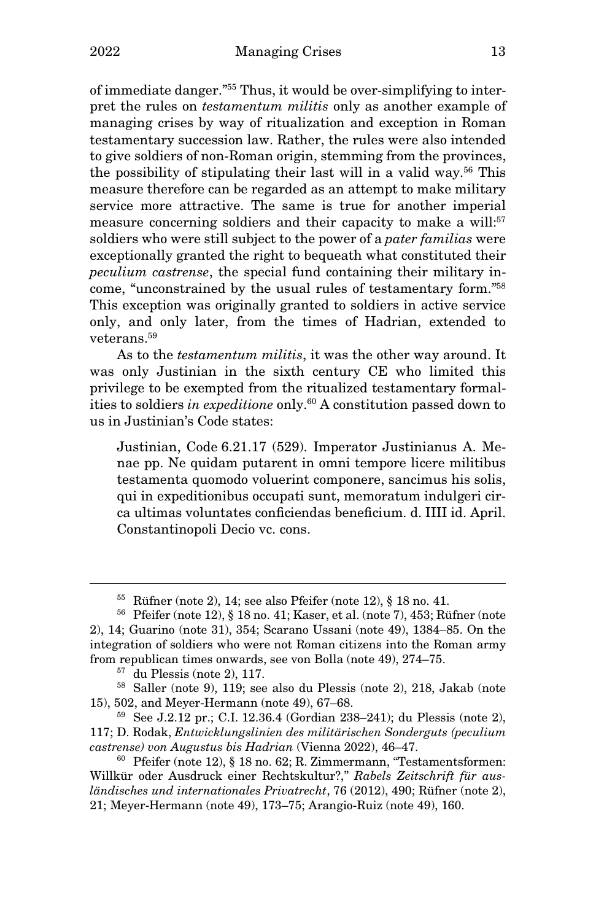of immediate danger."55 Thus, it would be over-simplifying to interpret the rules on *testamentum militis* only as another example of managing crises by way of ritualization and exception in Roman testamentary succession law. Rather, the rules were also intended to give soldiers of non-Roman origin, stemming from the provinces, the possibility of stipulating their last will in a valid way.<sup>56</sup> This measure therefore can be regarded as an attempt to make military service more attractive. The same is true for another imperial measure concerning soldiers and their capacity to make a will:<sup>57</sup> soldiers who were still subject to the power of a pater familias were exceptionally granted the right to bequeath what constituted their peculium castrense, the special fund containing their military income, "unconstrained by the usual rules of testamentary form."<sup>58</sup> This exception was originally granted to soldiers in active service only, and only later, from the times of Hadrian, extended to veterans.<sup>59</sup>

As to the *testamentum militis*, it was the other way around. It was only Justinian in the sixth century CE who limited this privilege to be exempted from the ritualized testamentary formalities to soldiers in expeditione only. $60$  A constitution passed down to us in Justinian's Code states:

Justinian, Code 6.21.17 (529). Imperator Justinianus A. Menae pp. Ne quidam putarent in omni tempore licere militibus testamenta quomodo voluerint componere, sancimus his solis, qui in expeditionibus occupati sunt, memoratum indulgeri circa ultimas voluntates conficiendas beneficium. d. IIII id. April. Constantinopoli Decio vc. cons.

 $55$  Rüfner (note 2), 14; see also Pfeifer (note 12),  $\S$  18 no. 41.

<sup>56</sup> Pfeifer (note 12), § 18 no. 41; Kaser, et al. (note 7), 453; Rüfner (note 2), 14; Guarino (note 31), 354; Scarano Ussani (note 49), 1384–85. On the integration of soldiers who were not Roman citizens into the Roman army from republican times onwards, see von Bolla (note 49), 274–75.

 $57$  du Plessis (note 2), 117.

<sup>58</sup> Saller (note 9), 119; see also du Plessis (note 2), 218, Jakab (note 15), 502, and Meyer-Hermann (note 49), 67–68.

<sup>59</sup> See J.2.12 pr.; C.I. 12.36.4 (Gordian 238–241); du Plessis (note 2), 117; D. Rodak, Entwicklungslinien des militärischen Sonderguts (peculium castrense) von Augustus bis Hadrian (Vienna 2022), 46–47.

 $60$  Pfeifer (note 12), § 18 no. 62; R. Zimmermann, "Testamentsformen: Willkür oder Ausdruck einer Rechtskultur?," Rabels Zeitschrift für ausländisches und internationales Privatrecht, 76 (2012), 490; Rüfner (note 2), 21; Meyer-Hermann (note 49), 173–75; Arangio-Ruiz (note 49), 160.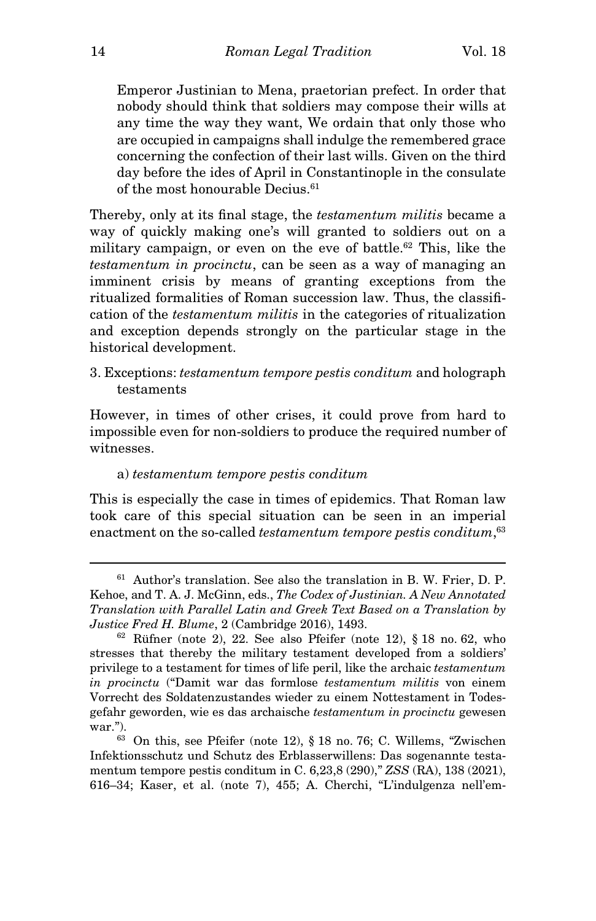Emperor Justinian to Mena, praetorian prefect. In order that nobody should think that soldiers may compose their wills at any time the way they want, We ordain that only those who are occupied in campaigns shall indulge the remembered grace concerning the confection of their last wills. Given on the third day before the ides of April in Constantinople in the consulate of the most honourable Decius.<sup>61</sup>

Thereby, only at its final stage, the *testamentum militis* became a way of quickly making one's will granted to soldiers out on a military campaign, or even on the eve of battle.<sup>62</sup> This, like the testamentum in procinctu, can be seen as a way of managing an imminent crisis by means of granting exceptions from the ritualized formalities of Roman succession law. Thus, the classification of the testamentum militis in the categories of ritualization and exception depends strongly on the particular stage in the historical development.

# 3. Exceptions: testamentum tempore pestis conditum and holograph testaments

However, in times of other crises, it could prove from hard to impossible even for non-soldiers to produce the required number of witnesses.

## a) testamentum tempore pestis conditum

This is especially the case in times of epidemics. That Roman law took care of this special situation can be seen in an imperial enactment on the so-called *testamentum tempore pestis conditum*,<sup>63</sup>

<sup>61</sup> Author's translation. See also the translation in B. W. Frier, D. P. Kehoe, and T. A. J. McGinn, eds., The Codex of Justinian. A New Annotated Translation with Parallel Latin and Greek Text Based on a Translation by Justice Fred H. Blume, 2 (Cambridge 2016), 1493.

 $62$  Rüfner (note 2), 22. See also Pfeifer (note 12), § 18 no. 62, who stresses that thereby the military testament developed from a soldiers' privilege to a testament for times of life peril, like the archaic testamentum in procinctu ("Damit war das formlose testamentum militis von einem Vorrecht des Soldatenzustandes wieder zu einem Nottestament in Todesgefahr geworden, wie es das archaische testamentum in procinctu gewesen war.").

<sup>63</sup> On this, see Pfeifer (note 12), § 18 no. 76; C. Willems, "Zwischen Infektionsschutz und Schutz des Erblasserwillens: Das sogenannte testamentum tempore pestis conditum in C. 6,23,8 (290)," ZSS (RA), 138 (2021), 616–34; Kaser, et al. (note 7), 455; A. Cherchi, "L'indulgenza nell'em-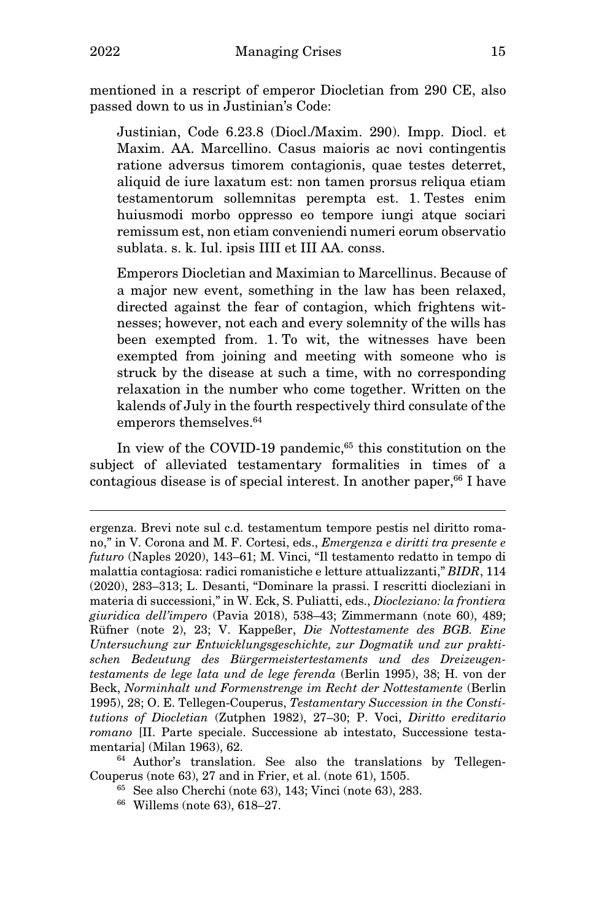mentioned in a rescript of emperor Diocletian from 290 CE, also passed down to us in Justinian's Code:

Justinian, Code 6.23.8 (Diocl./Maxim. 290). Impp. Diocl. et Maxim. AA. Marcellino. Casus maioris ac novi contingentis ratione adversus timorem contagionis, quae testes deterret, aliquid de iure laxatum est: non tamen prorsus reliqua etiam testamentorum sollemnitas perempta est. 1. Testes enim huiusmodi morbo oppresso eo tempore iungi atque sociari remissum est, non etiam conveniendi numeri eorum observatio sublata. s. k. Iul. ipsis IIII et III AA. conss.

Emperors Diocletian and Maximian to Marcellinus. Because of a major new event, something in the law has been relaxed, directed against the fear of contagion, which frightens witnesses; however, not each and every solemnity of the wills has been exempted from. 1. To wit, the witnesses have been exempted from joining and meeting with someone who is struck by the disease at such a time, with no corresponding relaxation in the number who come together. Written on the kalends of July in the fourth respectively third consulate of the emperors themselves.<sup>64</sup>

In view of the COVID-19 pandemic,<sup>65</sup> this constitution on the subject of alleviated testamentary formalities in times of a contagious disease is of special interest. In another paper,  $66$  I have

- <sup>65</sup> See also Cherchi (note 63), 143; Vinci (note 63), 283.
- 66 Willems (note 63), 618–27.

ergenza. Brevi note sul c.d. testamentum tempore pestis nel diritto romano," in V. Corona and M. F. Cortesi, eds., Emergenza e diritti tra presente e futuro (Naples 2020), 143–61; M. Vinci, "Il testamento redatto in tempo di malattia contagiosa: radici romanistiche e letture attualizzanti," BIDR, 114 (2020), 283–313; L. Desanti, "Dominare la prassi. I rescritti diocleziani in materia di successioni," in W. Eck, S. Puliatti, eds., Diocleziano: la frontiera giuridica dell'impero (Pavia 2018), 538–43; Zimmermann (note 60), 489; Rüfner (note 2), 23; V. Kappeßer, Die Nottestamente des BGB. Eine Untersuchung zur Entwicklungsgeschichte, zur Dogmatik und zur praktischen Bedeutung des Bürgermeistertestaments und des Dreizeugentestaments de lege lata und de lege ferenda (Berlin 1995), 38; H. von der Beck, Norminhalt und Formenstrenge im Recht der Nottestamente (Berlin 1995), 28; O. E. Tellegen-Couperus, Testamentary Succession in the Constitutions of Diocletian (Zutphen 1982), 27–30; P. Voci, Diritto ereditario romano [II. Parte speciale. Successione ab intestato, Successione testamentaria] (Milan 1963), 62.

<sup>64</sup> Author's translation. See also the translations by Tellegen-Couperus (note 63), 27 and in Frier, et al. (note 61), 1505.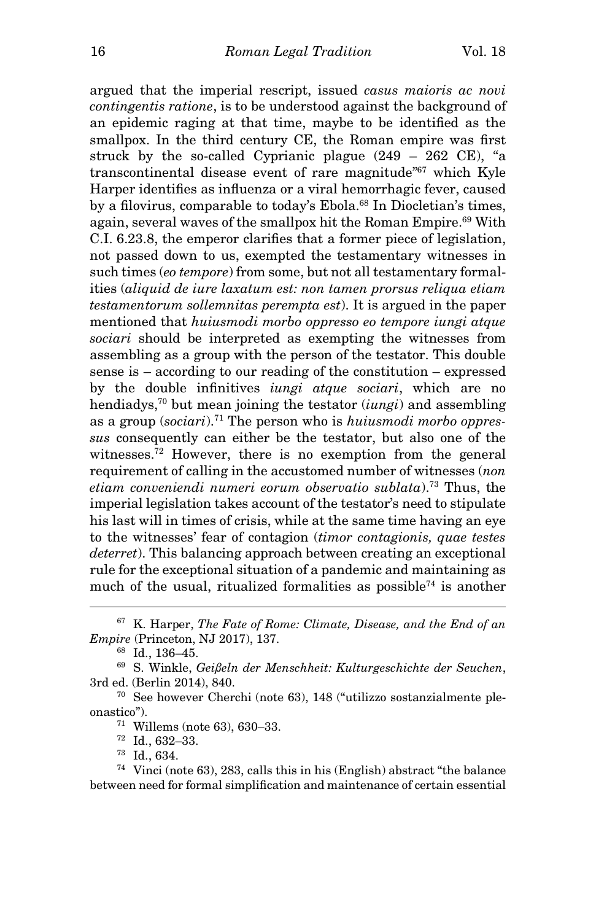argued that the imperial rescript, issued casus maioris ac novi contingentis ratione, is to be understood against the background of an epidemic raging at that time, maybe to be identified as the smallpox. In the third century CE, the Roman empire was first struck by the so-called Cyprianic plague (249 – 262 CE), "a transcontinental disease event of rare magnitude"<sup>67</sup> which Kyle Harper identifies as influenza or a viral hemorrhagic fever, caused by a filovirus, comparable to today's Ebola.<sup>68</sup> In Diocletian's times, again, several waves of the smallpox hit the Roman Empire.<sup>69</sup> With C.I. 6.23.8, the emperor clarifies that a former piece of legislation, not passed down to us, exempted the testamentary witnesses in such times (eo tempore) from some, but not all testamentary formalities (aliquid de iure laxatum est: non tamen prorsus reliqua etiam testamentorum sollemnitas perempta est). It is argued in the paper mentioned that huiusmodi morbo oppresso eo tempore iungi atque sociari should be interpreted as exempting the witnesses from assembling as a group with the person of the testator. This double sense is – according to our reading of the constitution – expressed by the double infinitives iungi atque sociari, which are no hendiadys,<sup>70</sup> but mean joining the testator  $(iungi)$  and assembling as a group  $(sociari).$ <sup>71</sup> The person who is *huiusmodi morbo oppres*sus consequently can either be the testator, but also one of the witnesses.<sup>72</sup> However, there is no exemption from the general requirement of calling in the accustomed number of witnesses (non etiam conveniendi numeri eorum observatio sublata).<sup>73</sup> Thus, the imperial legislation takes account of the testator's need to stipulate his last will in times of crisis, while at the same time having an eye to the witnesses' fear of contagion (timor contagionis, quae testes deterret). This balancing approach between creating an exceptional rule for the exceptional situation of a pandemic and maintaining as much of the usual, ritualized formalities as possible<sup> $74$ </sup> is another

 $67\,$  K. Harper, The Fate of Rome: Climate, Disease, and the End of an Empire (Princeton, NJ 2017), 137.

<sup>68</sup> Id., 136–45.

 $69$  S. Winkle, Geißeln der Menschheit: Kulturgeschichte der Seuchen, 3rd ed. (Berlin 2014), 840.

<sup>70</sup> See however Cherchi (note 63), 148 ("utilizzo sostanzialmente pleonastico").

<sup>71</sup> Willems (note 63), 630–33.

<sup>72</sup> Id., 632–33.

<sup>73</sup> Id., 634.

<sup>74</sup> Vinci (note 63), 283, calls this in his (English) abstract "the balance between need for formal simplification and maintenance of certain essential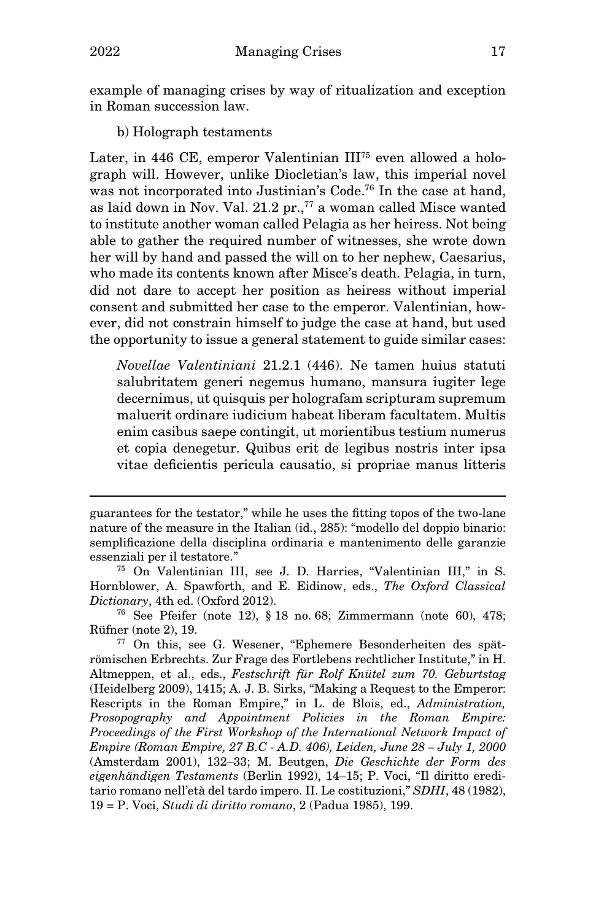example of managing crises by way of ritualization and exception in Roman succession law.

b) Holograph testaments

Later, in 446 CE, emperor Valentinian III75 even allowed a holograph will. However, unlike Diocletian's law, this imperial novel was not incorporated into Justinian's Code.<sup>76</sup> In the case at hand, as laid down in Nov. Val. 21.2 pr.,<sup>77</sup> a woman called Misce wanted to institute another woman called Pelagia as her heiress. Not being able to gather the required number of witnesses, she wrote down her will by hand and passed the will on to her nephew, Caesarius, who made its contents known after Misce's death. Pelagia, in turn, did not dare to accept her position as heiress without imperial consent and submitted her case to the emperor. Valentinian, however, did not constrain himself to judge the case at hand, but used the opportunity to issue a general statement to guide similar cases:

Novellae Valentiniani 21.2.1 (446). Ne tamen huius statuti salubritatem generi negemus humano, mansura iugiter lege decernimus, ut quisquis per holografam scripturam supremum maluerit ordinare iudicium habeat liberam facultatem. Multis enim casibus saepe contingit, ut morientibus testium numerus et copia denegetur. Quibus erit de legibus nostris inter ipsa vitae deficientis pericula causatio, si propriae manus litteris

guarantees for the testator," while he uses the fitting topos of the two-lane nature of the measure in the Italian (id., 285): "modello del doppio binario: semplificazione della disciplina ordinaria e mantenimento delle garanzie essenziali per il testatore."

<sup>75</sup> On Valentinian III, see J. D. Harries, "Valentinian III," in S. Hornblower, A. Spawforth, and E. Eidinow, eds., The Oxford Classical Dictionary, 4th ed. (Oxford 2012).

<sup>76</sup> See Pfeifer (note 12), § 18 no. 68; Zimmermann (note 60), 478; Rüfner (note 2), 19.

<sup>77</sup> On this, see G. Wesener, "Ephemere Besonderheiten des spätrömischen Erbrechts. Zur Frage des Fortlebens rechtlicher Institute," in H. Altmeppen, et al., eds., Festschrift für Rolf Knütel zum 70. Geburtstag (Heidelberg 2009), 1415; A. J. B. Sirks, "Making a Request to the Emperor: Rescripts in the Roman Empire," in L. de Blois, ed., Administration, Prosopography and Appointment Policies in the Roman Empire: Proceedings of the First Workshop of the International Network Impact of Empire (Roman Empire, 27 B.C - A.D. 406), Leiden, June 28 – July 1, 2000 (Amsterdam 2001), 132–33; M. Beutgen, Die Geschichte der Form des eigenhändigen Testaments (Berlin 1992), 14–15; P. Voci, "Il diritto ereditario romano nell'età del tardo impero. II. Le costituzioni," SDHI, 48 (1982), 19 = P. Voci, Studi di diritto romano, 2 (Padua 1985), 199.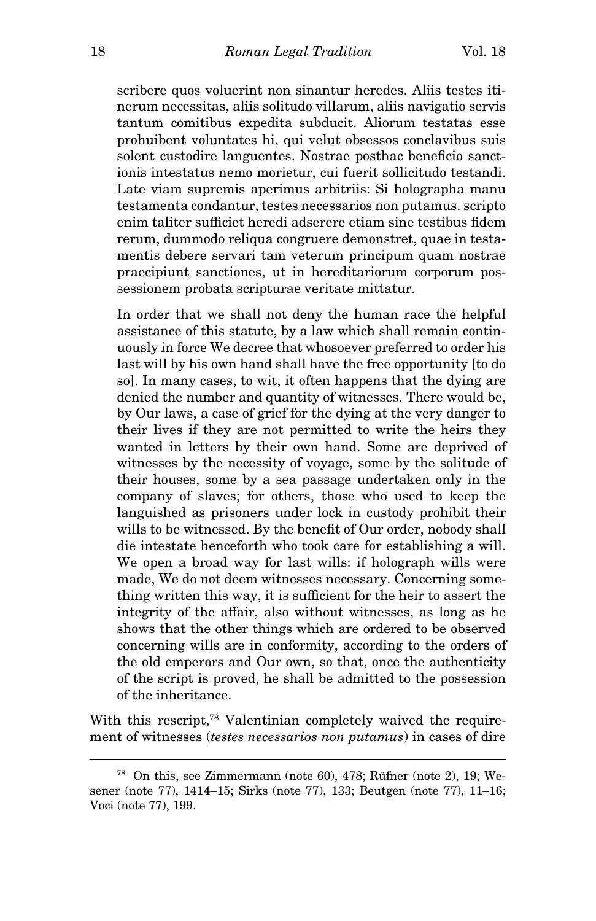scribere quos voluerint non sinantur heredes. Aliis testes itinerum necessitas, aliis solitudo villarum, aliis navigatio servis tantum comitibus expedita subducit. Aliorum testatas esse prohuibent voluntates hi, qui velut obsessos conclavibus suis solent custodire languentes. Nostrae posthac beneficio sanctionis intestatus nemo morietur, cui fuerit sollicitudo testandi. Late viam supremis aperimus arbitriis: Si holographa manu testamenta condantur, testes necessarios non putamus. scripto enim taliter sufficiet heredi adserere etiam sine testibus fidem rerum, dummodo reliqua congruere demonstret, quae in testamentis debere servari tam veterum principum quam nostrae praecipiunt sanctiones, ut in hereditariorum corporum possessionem probata scripturae veritate mittatur.

In order that we shall not deny the human race the helpful assistance of this statute, by a law which shall remain continuously in force We decree that whosoever preferred to order his last will by his own hand shall have the free opportunity [to do so]. In many cases, to wit, it often happens that the dying are denied the number and quantity of witnesses. There would be, by Our laws, a case of grief for the dying at the very danger to their lives if they are not permitted to write the heirs they wanted in letters by their own hand. Some are deprived of witnesses by the necessity of voyage, some by the solitude of their houses, some by a sea passage undertaken only in the company of slaves; for others, those who used to keep the languished as prisoners under lock in custody prohibit their wills to be witnessed. By the benefit of Our order, nobody shall die intestate henceforth who took care for establishing a will. We open a broad way for last wills: if holograph wills were made, We do not deem witnesses necessary. Concerning something written this way, it is sufficient for the heir to assert the integrity of the affair, also without witnesses, as long as he shows that the other things which are ordered to be observed concerning wills are in conformity, according to the orders of the old emperors and Our own, so that, once the authenticity of the script is proved, he shall be admitted to the possession of the inheritance.

With this rescript,<sup>78</sup> Valentinian completely waived the requirement of witnesses (testes necessarios non putamus) in cases of dire

<sup>78</sup> On this, see Zimmermann (note 60), 478; Rüfner (note 2), 19; Wesener (note 77), 1414–15; Sirks (note 77), 133; Beutgen (note 77), 11–16; Voci (note 77), 199.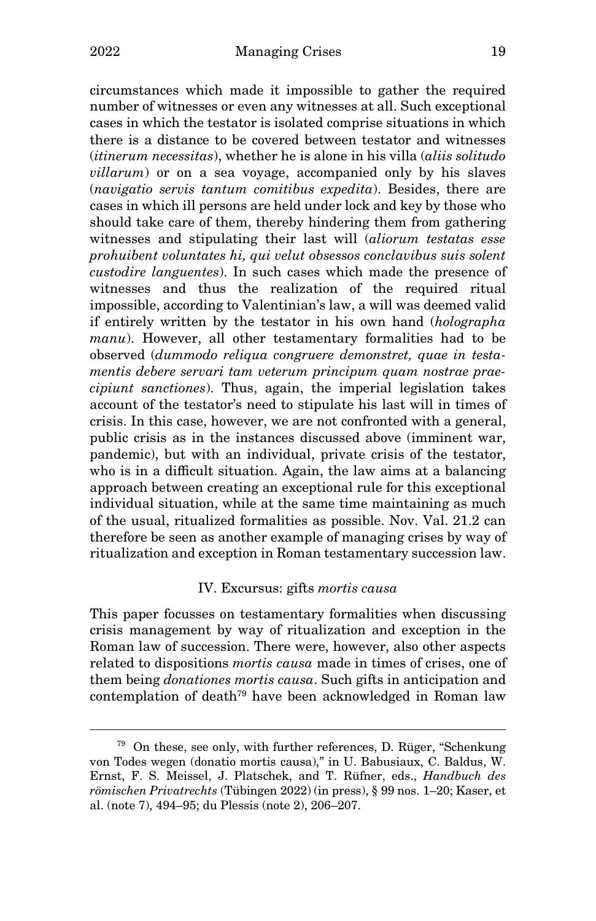circumstances which made it impossible to gather the required number of witnesses or even any witnesses at all. Such exceptional cases in which the testator is isolated comprise situations in which there is a distance to be covered between testator and witnesses  $(i*tinerum* necessitas)$ , whether he is alone in his villa *(aliis solitudo*) villarum) or on a sea voyage, accompanied only by his slaves (navigatio servis tantum comitibus expedita). Besides, there are cases in which ill persons are held under lock and key by those who should take care of them, thereby hindering them from gathering witnesses and stipulating their last will (aliorum testatas esse prohuibent voluntates hi, qui velut obsessos conclavibus suis solent custodire languentes). In such cases which made the presence of witnesses and thus the realization of the required ritual impossible, according to Valentinian's law, a will was deemed valid if entirely written by the testator in his own hand (holographa manu). However, all other testamentary formalities had to be observed (dummodo reliqua congruere demonstret, quae in testamentis debere servari tam veterum principum quam nostrae praecipiunt sanctiones). Thus, again, the imperial legislation takes account of the testator's need to stipulate his last will in times of crisis. In this case, however, we are not confronted with a general, public crisis as in the instances discussed above (imminent war, pandemic), but with an individual, private crisis of the testator, who is in a difficult situation. Again, the law aims at a balancing approach between creating an exceptional rule for this exceptional individual situation, while at the same time maintaining as much of the usual, ritualized formalities as possible. Nov. Val. 21.2 can therefore be seen as another example of managing crises by way of ritualization and exception in Roman testamentary succession law.

## IV. Excursus: gifts mortis causa

This paper focusses on testamentary formalities when discussing crisis management by way of ritualization and exception in the Roman law of succession. There were, however, also other aspects related to dispositions mortis causa made in times of crises, one of them being donationes mortis causa. Such gifts in anticipation and contemplation of death<sup>79</sup> have been acknowledged in Roman law

<sup>79</sup> On these, see only, with further references, D. Rüger, "Schenkung von Todes wegen (donatio mortis causa)," in U. Babusiaux, C. Baldus, W. Ernst, F. S. Meissel, J. Platschek, and T. Rüfner, eds., Handbuch des römischen Privatrechts (Tübingen 2022) (in press), § 99 nos. 1–20; Kaser, et al. (note 7), 494–95; du Plessis (note 2), 206–207.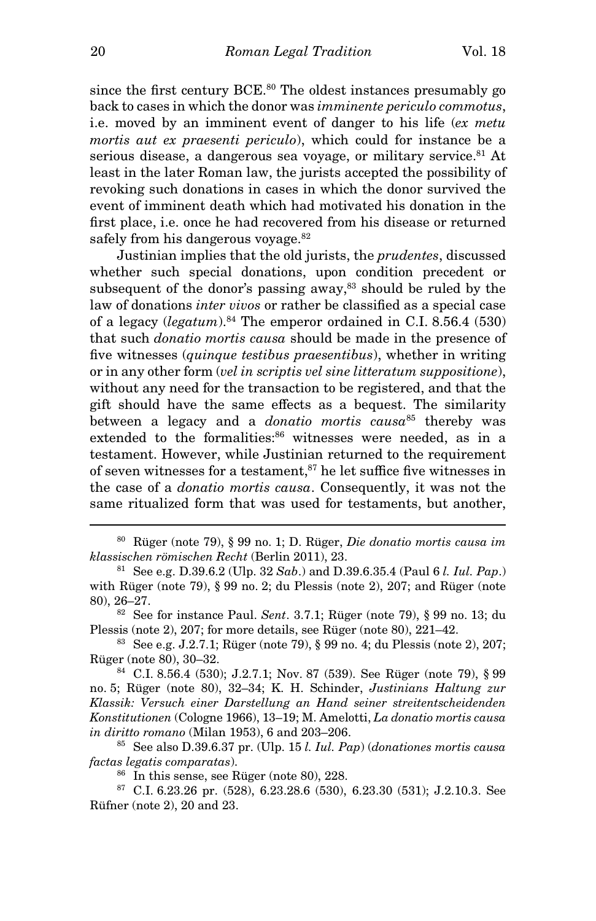since the first century BCE.<sup>80</sup> The oldest instances presumably go back to cases in which the donor was imminente periculo commotus, i.e. moved by an imminent event of danger to his life (ex metu mortis aut ex praesenti periculo), which could for instance be a serious disease, a dangerous sea voyage, or military service.<sup>81</sup> At least in the later Roman law, the jurists accepted the possibility of revoking such donations in cases in which the donor survived the event of imminent death which had motivated his donation in the first place, i.e. once he had recovered from his disease or returned safely from his dangerous voyage.<sup>82</sup>

Justinian implies that the old jurists, the prudentes, discussed whether such special donations, upon condition precedent or subsequent of the donor's passing away, $83$  should be ruled by the law of donations inter vivos or rather be classified as a special case of a legacy  $(legatum).<sup>84</sup>$  The emperor ordained in C.I. 8.56.4 (530) that such donatio mortis causa should be made in the presence of five witnesses (quinque testibus praesentibus), whether in writing or in any other form (vel in scriptis vel sine litteratum suppositione), without any need for the transaction to be registered, and that the gift should have the same effects as a bequest. The similarity between a legacy and a *donatio mortis* causa<sup>85</sup> thereby was extended to the formalities:<sup>86</sup> witnesses were needed, as in a testament. However, while Justinian returned to the requirement of seven witnesses for a testament,  $s<sup>7</sup>$  he let suffice five witnesses in the case of a donatio mortis causa. Consequently, it was not the same ritualized form that was used for testaments, but another,

 $80$  Rüger (note 79), § 99 no. 1; D. Rüger, *Die donatio mortis causa im* klassischen römischen Recht (Berlin 2011), 23.

<sup>81</sup> See e.g. D.39.6.2 (Ulp. 32 Sab.) and D.39.6.35.4 (Paul 6 *l. Iul. Pap.*) with Rüger (note 79), § 99 no. 2; du Plessis (note 2), 207; and Rüger (note 80), 26–27.

<sup>82</sup> See for instance Paul. Sent. 3.7.1; Rüger (note 79), § 99 no. 13; du Plessis (note 2), 207; for more details, see Rüger (note 80), 221–42.

<sup>83</sup> See e.g. J.2.7.1; Rüger (note 79), § 99 no. 4; du Plessis (note 2), 207; Rüger (note 80), 30–32.

<sup>84</sup> C.I. 8.56.4 (530); J.2.7.1; Nov. 87 (539). See Rüger (note 79), § 99 no. 5; Rüger (note 80), 32–34; K. H. Schinder, Justinians Haltung zur Klassik: Versuch einer Darstellung an Hand seiner streitentscheidenden Konstitutionen (Cologne 1966), 13–19; M. Amelotti, La donatio mortis causa in diritto romano (Milan 1953), 6 and 203–206.

 $85$  See also D.39.6.37 pr. (Ulp. 15 *l. Iul. Pap)* (donationes mortis causa factas legatis comparatas).

 $86$  In this sense, see Rüger (note 80), 228.

<sup>87</sup> C.I. 6.23.26 pr. (528), 6.23.28.6 (530), 6.23.30 (531); J.2.10.3. See Rüfner (note 2), 20 and 23.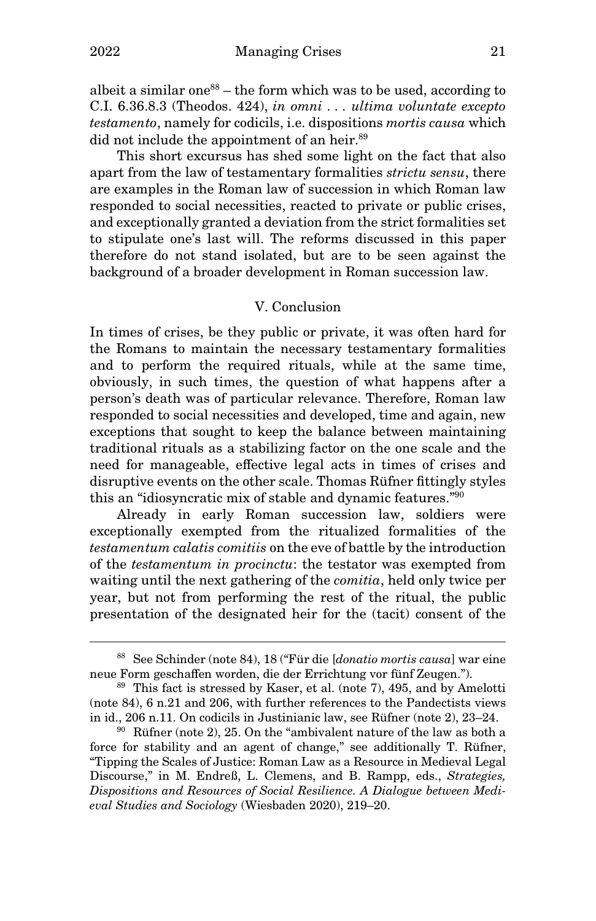albeit a similar one<sup>88</sup> – the form which was to be used, according to C.I. 6.36.8.3 (Theodos. 424), in omni . . . ultima voluntate excepto testamento, namely for codicils, i.e. dispositions mortis causa which did not include the appointment of an heir.<sup>89</sup>

This short excursus has shed some light on the fact that also apart from the law of testamentary formalities strictu sensu, there are examples in the Roman law of succession in which Roman law responded to social necessities, reacted to private or public crises, and exceptionally granted a deviation from the strict formalities set to stipulate one's last will. The reforms discussed in this paper therefore do not stand isolated, but are to be seen against the background of a broader development in Roman succession law.

## V. Conclusion

In times of crises, be they public or private, it was often hard for the Romans to maintain the necessary testamentary formalities and to perform the required rituals, while at the same time, obviously, in such times, the question of what happens after a person's death was of particular relevance. Therefore, Roman law responded to social necessities and developed, time and again, new exceptions that sought to keep the balance between maintaining traditional rituals as a stabilizing factor on the one scale and the need for manageable, effective legal acts in times of crises and disruptive events on the other scale. Thomas Rüfner fittingly styles this an "idiosyncratic mix of stable and dynamic features."<sup>90</sup>

Already in early Roman succession law, soldiers were exceptionally exempted from the ritualized formalities of the testamentum calatis comitiis on the eve of battle by the introduction of the testamentum in procinctu: the testator was exempted from waiting until the next gathering of the *comitia*, held only twice per year, but not from performing the rest of the ritual, the public presentation of the designated heir for the (tacit) consent of the

<sup>88</sup> See Schinder (note 84), 18 ("Für die [donatio mortis causa] war eine neue Form geschaffen worden, die der Errichtung vor fünf Zeugen.").

<sup>89</sup> This fact is stressed by Kaser, et al. (note 7), 495, and by Amelotti (note 84), 6 n.21 and 206, with further references to the Pandectists views in id., 206 n.11. On codicils in Justinianic law, see Rüfner (note 2), 23–24.

 $90$  Rüfner (note 2), 25. On the "ambivalent nature of the law as both a force for stability and an agent of change," see additionally T. Rüfner, "Tipping the Scales of Justice: Roman Law as a Resource in Medieval Legal Discourse," in M. Endreß, L. Clemens, and B. Rampp, eds., Strategies, Dispositions and Resources of Social Resilience. A Dialogue between Medieval Studies and Sociology (Wiesbaden 2020), 219–20.